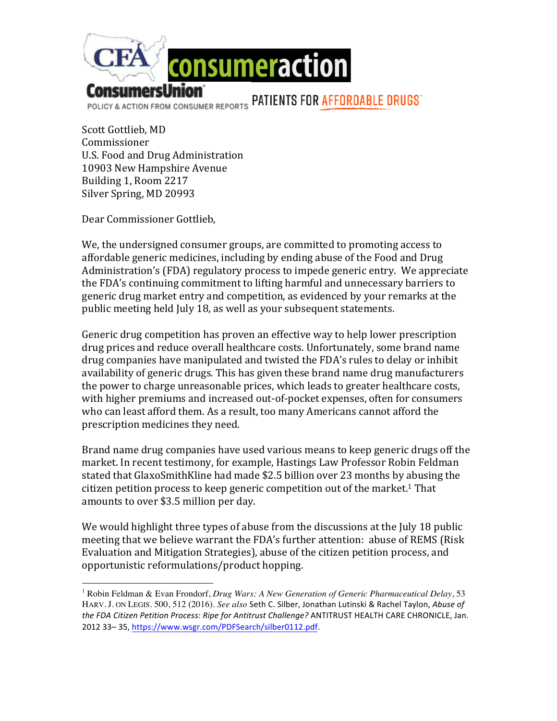

Scott Gottlieb, MD Commissioner U.S. Food and Drug Administration 10903 New Hampshire Avenue Building 1, Room 2217 Silver Spring, MD 20993

Dear Commissioner Gottlieb,

 

We, the undersigned consumer groups, are committed to promoting access to affordable generic medicines, including by ending abuse of the Food and Drug Administration's (FDA) regulatory process to impede generic entry. We appreciate the FDA's continuing commitment to lifting harmful and unnecessary barriers to generic drug market entry and competition, as evidenced by your remarks at the public meeting held July 18, as well as your subsequent statements.

Generic drug competition has proven an effective way to help lower prescription drug prices and reduce overall healthcare costs. Unfortunately, some brand name drug companies have manipulated and twisted the FDA's rules to delay or inhibit availability of generic drugs. This has given these brand name drug manufacturers the power to charge unreasonable prices, which leads to greater healthcare costs, with higher premiums and increased out-of-pocket expenses, often for consumers who can least afford them. As a result, too many Americans cannot afford the prescription medicines they need.

Brand name drug companies have used various means to keep generic drugs off the market. In recent testimony, for example, Hastings Law Professor Robin Feldman stated that GlaxoSmithKline had made \$2.5 billion over 23 months by abusing the citizen petition process to keep generic competition out of the market.<sup>1</sup> That amounts to over \$3.5 million per day.

We would highlight three types of abuse from the discussions at the July 18 public meeting that we believe warrant the FDA's further attention: abuse of REMS (Risk Evaluation and Mitigation Strategies), abuse of the citizen petition process, and opportunistic reformulations/product hopping.

<sup>1</sup> Robin Feldman & Evan Frondorf, *Drug Wars: A New Generation of Generic Pharmaceutical Delay*, 53 HARV. J. ON LEGIS. 500, 512 (2016). See also Seth C. Silber, Jonathan Lutinski & Rachel Taylon, Abuse of the FDA Citizen Petition Process: Ripe for Antitrust Challenge? ANTITRUST HEALTH CARE CHRONICLE, Jan. 2012 33-35, https://www.wsgr.com/PDFSearch/silber0112.pdf.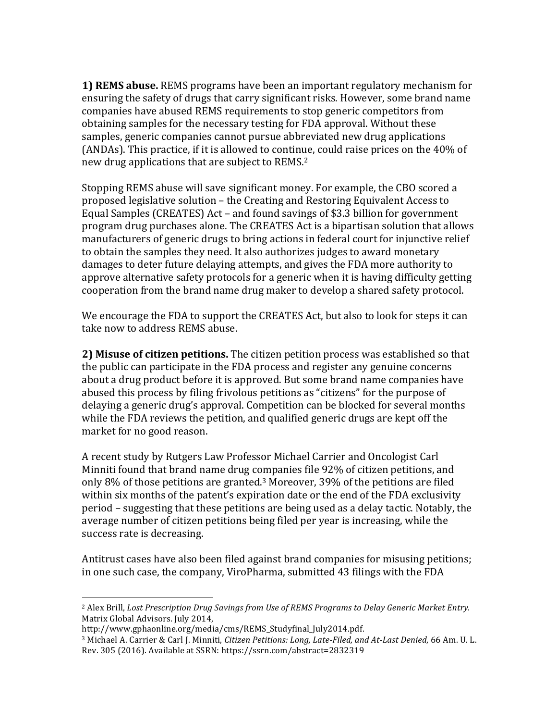**1) REMS abuse.** REMS programs have been an important regulatory mechanism for ensuring the safety of drugs that carry significant risks. However, some brand name companies have abused REMS requirements to stop generic competitors from obtaining samples for the necessary testing for FDA approval. Without these samples, generic companies cannot pursue abbreviated new drug applications (ANDAs). This practice, if it is allowed to continue, could raise prices on the 40% of new drug applications that are subject to REMS.<sup>2</sup>

Stopping REMS abuse will save significant money. For example, the CBO scored a proposed legislative solution – the Creating and Restoring Equivalent Access to Equal Samples (CREATES) Act – and found savings of \$3.3 billion for government program drug purchases alone. The CREATES Act is a bipartisan solution that allows manufacturers of generic drugs to bring actions in federal court for injunctive relief to obtain the samples they need. It also authorizes judges to award monetary damages to deter future delaying attempts, and gives the FDA more authority to approve alternative safety protocols for a generic when it is having difficulty getting cooperation from the brand name drug maker to develop a shared safety protocol.

We encourage the FDA to support the CREATES Act, but also to look for steps it can take now to address REMS abuse.

**2) Misuse of citizen petitions.** The citizen petition process was established so that the public can participate in the FDA process and register any genuine concerns about a drug product before it is approved. But some brand name companies have abused this process by filing frivolous petitions as "citizens" for the purpose of delaying a generic drug's approval. Competition can be blocked for several months while the FDA reviews the petition, and qualified generic drugs are kept off the market for no good reason.

A recent study by Rutgers Law Professor Michael Carrier and Oncologist Carl Minniti found that brand name drug companies file 92% of citizen petitions, and only 8% of those petitions are granted.<sup>3</sup> Moreover, 39% of the petitions are filed within six months of the patent's expiration date or the end of the FDA exclusivity period – suggesting that these petitions are being used as a delay tactic. Notably, the average number of citizen petitions being filed per year is increasing, while the success rate is decreasing.

Antitrust cases have also been filed against brand companies for misusing petitions; in one such case, the company, ViroPharma, submitted 43 filings with the FDA

 

<sup>&</sup>lt;sup>2</sup> Alex Brill, *Lost Prescription Drug Savings from Use of REMS Programs to Delay Generic Market Entry.* Matrix Global Advisors. July 2014,

http://www.gphaonline.org/media/cms/REMS\_Studyfinal\_July2014.pdf.

<sup>&</sup>lt;sup>3</sup> Michael A. Carrier & Carl J. Minniti, *Citizen Petitions: Long, Late-Filed, and At-Last Denied,* 66 Am. U. L. Rev. 305 (2016). Available at SSRN: https://ssrn.com/abstract=2832319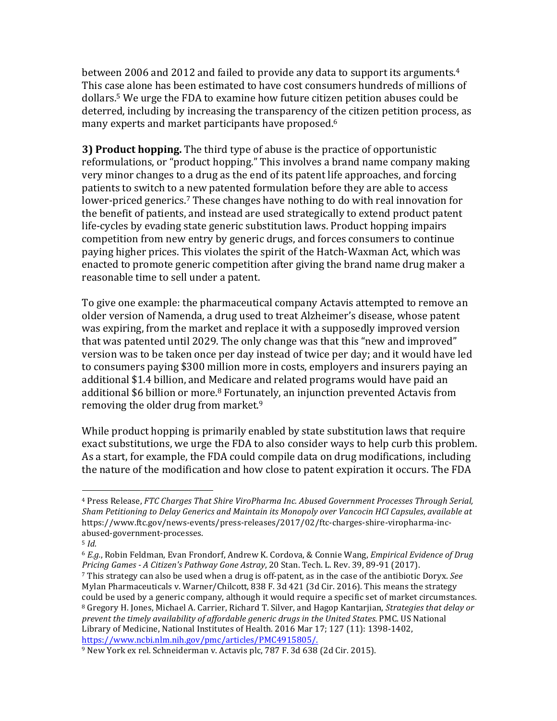between 2006 and 2012 and failed to provide any data to support its arguments.<sup>4</sup> This case alone has been estimated to have cost consumers hundreds of millions of dollars.<sup>5</sup> We urge the FDA to examine how future citizen petition abuses could be deterred, including by increasing the transparency of the citizen petition process, as many experts and market participants have proposed.<sup>6</sup>

**3) Product hopping.** The third type of abuse is the practice of opportunistic reformulations, or "product hopping." This involves a brand name company making very minor changes to a drug as the end of its patent life approaches, and forcing patients to switch to a new patented formulation before they are able to access lower-priced generics.<sup>7</sup> These changes have nothing to do with real innovation for the benefit of patients, and instead are used strategically to extend product patent life-cycles by evading state generic substitution laws. Product hopping impairs competition from new entry by generic drugs, and forces consumers to continue paying higher prices. This violates the spirit of the Hatch-Waxman Act, which was enacted to promote generic competition after giving the brand name drug maker a reasonable time to sell under a patent.

To give one example: the pharmaceutical company Actavis attempted to remove an older version of Namenda, a drug used to treat Alzheimer's disease, whose patent was expiring, from the market and replace it with a supposedly improved version that was patented until 2029. The only change was that this "new and improved" version was to be taken once per day instead of twice per day; and it would have led to consumers paying \$300 million more in costs, employers and insurers paying an additional \$1.4 billion, and Medicare and related programs would have paid an additional \$6 billion or more.<sup>8</sup> Fortunately, an injunction prevented Actavis from removing the older drug from market.<sup>9</sup>

While product hopping is primarily enabled by state substitution laws that require exact substitutions, we urge the FDA to also consider ways to help curb this problem. As a start, for example, the FDA could compile data on drug modifications, including the nature of the modification and how close to patent expiration it occurs. The FDA

 

<sup>&</sup>lt;sup>4</sup> Press Release, *FTC Charges That Shire ViroPharma Inc. Abused Government Processes Through Serial, Sham* Petitioning to Delay Generics and Maintain its Monopoly over Vancocin HCl Capsules, available at https://www.ftc.gov/news-events/press-releases/2017/02/ftc-charges-shire-viropharma-incabused-government-processes.

<sup>5</sup> *Id.*

<sup>&</sup>lt;sup>6</sup> *E.g.*, Robin Feldman, Evan Frondorf, Andrew K. Cordova, & Connie Wang, *Empirical Evidence of Drug Pricing Games - A Citizen's Pathway Gone Astray*, 20 Stan. Tech. L. Rev. 39, 89-91 (2017).

<sup>7</sup> This strategy can also be used when a drug is off-patent, as in the case of the antibiotic Doryx. See Mylan Pharmaceuticals v. Warner/Chilcott, 838 F. 3d 421 (3d Cir. 2016). This means the strategy could be used by a generic company, although it would require a specific set of market circumstances. <sup>8</sup> Gregory H. Jones, Michael A. Carrier, Richard T. Silver, and Hagop Kantarjian, *Strategies that delay or prevent the timely availability of affordable generic drugs in the United States.* PMC. US National Library of Medicine, National Institutes of Health. 2016 Mar 17; 127 (11): 1398-1402, https://www.ncbi.nlm.nih.gov/pmc/articles/PMC4915805/.

<sup>&</sup>lt;sup>9</sup> New York ex rel. Schneiderman v. Actavis plc, 787 F. 3d 638 (2d Cir. 2015).